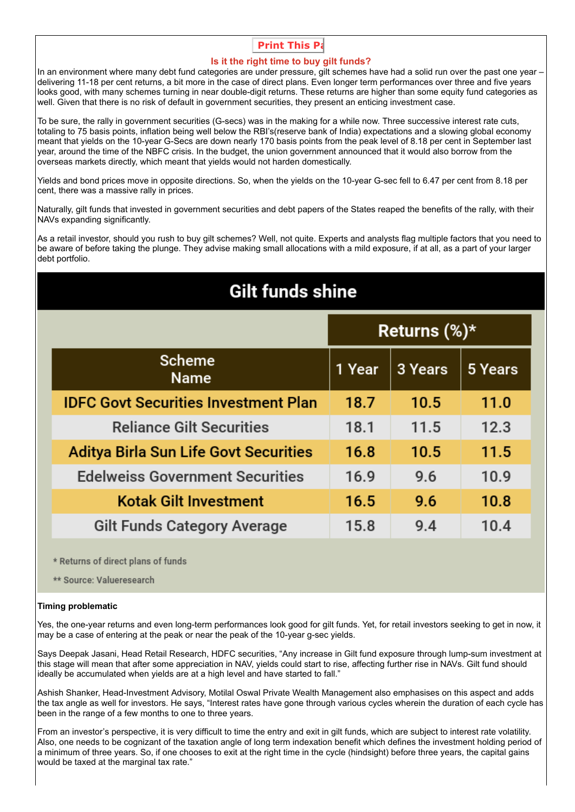## **Print This Pa**

### **Is it the right time to buy gilt funds?**

In an environment where many debt fund categories are under pressure, gilt schemes have had a solid run over the past one year – delivering 11-18 per cent returns, a bit more in the case of direct plans. Even longer term performances over three and five years looks good, with many schemes turning in near double-digit returns. These returns are higher than some equity fund categories as well. Given that there is no risk of default in government securities, they present an enticing investment case.

To be sure, the rally in government securities (G-secs) was in the making for a while now. Three successive interest rate cuts, totaling to 75 basis points, inflation being well below the RBI's(reserve bank of India) expectations and a slowing global economy meant that yields on the 10-year G-Secs are down nearly 170 basis points from the peak level of 8.18 per cent in September last year, around the time of the NBFC crisis. In the budget, the union government announced that it would also borrow from the overseas markets directly, which meant that yields would not harden domestically.

Yields and bond prices move in opposite directions. So, when the yields on the 10-year G-sec fell to 6.47 per cent from 8.18 per cent, there was a massive rally in prices.

Naturally, gilt funds that invested in government securities and debt papers of the States reaped the benefits of the rally, with their NAVs expanding significantly.

As a retail investor, should you rush to buy gilt schemes? Well, not quite. Experts and analysts flag multiple factors that you need to be aware of before taking the plunge. They advise making small allocations with a mild exposure, if at all, as a part of your larger debt portfolio.

# Gilt funds shine

|                                              | Returns $(\%)^*$ |         |         |
|----------------------------------------------|------------------|---------|---------|
| <b>Scheme</b><br><b>Name</b>                 | 1 Year           | 3 Years | 5 Years |
| <b>IDFC Govt Securities Investment Plan</b>  | 18.7             | 10.5    | 11.0    |
| <b>Reliance Gilt Securities</b>              | 18.1             | 11.5    | 12.3    |
| <b>Aditya Birla Sun Life Govt Securities</b> | 16.8             | 10.5    | 11.5    |
| <b>Edelweiss Government Securities</b>       | 16.9             | 9.6     | 10.9    |
| <b>Kotak Gilt Investment</b>                 | 16.5             | 9.6     | 10.8    |
| <b>Gilt Funds Category Average</b>           | 15.8             | 9.4     | 10.4    |

\* Returns of direct plans of funds

\*\* Source: Valueresearch

#### **Timing problematic**

Yes, the one-year returns and even long-term performances look good for gilt funds. Yet, for retail investors seeking to get in now, it may be a case of entering at the peak or near the peak of the 10-year g-sec yields.

Says Deepak Jasani, Head Retail Research, HDFC securities, "Any increase in Gilt fund exposure through lump-sum investment at this stage will mean that after some appreciation in NAV, yields could start to rise, affecting further rise in NAVs. Gilt fund should ideally be accumulated when yields are at a high level and have started to fall."

Ashish Shanker, Head-Investment Advisory, Motilal Oswal Private Wealth Management also emphasises on this aspect and adds the tax angle as well for investors. He says, "Interest rates have gone through various cycles wherein the duration of each cycle has been in the range of a few months to one to three years.

From an investor's perspective, it is very difficult to time the entry and exit in gilt funds, which are subject to interest rate volatility. Also, one needs to be cognizant of the taxation angle of long term indexation benefit which defines the investment holding period of a minimum of three years. So, if one chooses to exit at the right time in the cycle (hindsight) before three years, the capital gains would be taxed at the marginal tax rate."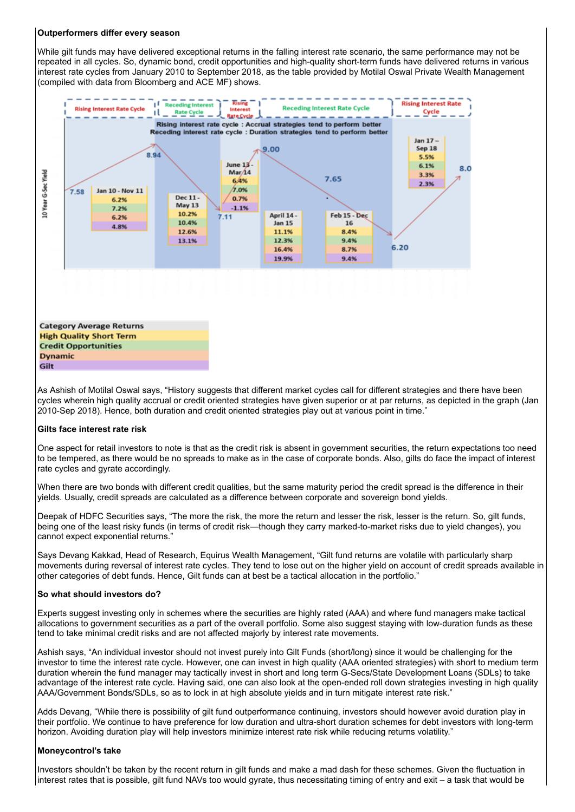#### **Outperformers differ every season**

While gilt funds may have delivered exceptional returns in the falling interest rate scenario, the same performance may not be repeated in all cycles. So, dynamic bond, credit opportunities and high-quality short-term funds have delivered returns in various interest rate cycles from January 2010 to September 2018, as the table provided by Motilal Oswal Private Wealth Management (compiled with data from Bloomberg and ACE MF) shows.



As Ashish of Motilal Oswal says, "History suggests that different market cycles call for different strategies and there have been cycles wherein high quality accrual or credit oriented strategies have given superior or at par returns, as depicted in the graph (Jan 2010-Sep 2018). Hence, both duration and credit oriented strategies play out at various point in time."

#### **Gilts face interest rate risk**

One aspect for retail investors to note is that as the credit risk is absent in government securities, the return expectations too need to be tempered, as there would be no spreads to make as in the case of corporate bonds. Also, gilts do face the impact of interest rate cycles and gyrate accordingly.

When there are two bonds with different credit qualities, but the same maturity period the credit spread is the difference in their yields. Usually, credit spreads are calculated as a difference between corporate and sovereign bond yields.

Deepak of HDFC Securities says, "The more the risk, the more the return and lesser the risk, lesser is the return. So, gilt funds, being one of the least risky funds (in terms of credit risk—though they carry marked-to-market risks due to yield changes), you cannot expect exponential returns."

Says Devang Kakkad, Head of Research, Equirus Wealth Management, "Gilt fund returns are volatile with particularly sharp movements during reversal of interest rate cycles. They tend to lose out on the higher yield on account of credit spreads available in other categories of debt funds. Hence, Gilt funds can at best be a tactical allocation in the portfolio."

#### **So what should investors do?**

Experts suggest investing only in schemes where the securities are highly rated (AAA) and where fund managers make tactical allocations to government securities as a part of the overall portfolio. Some also suggest staying with low-duration funds as these tend to take minimal credit risks and are not affected majorly by interest rate movements.

Ashish says, "An individual investor should not invest purely into Gilt Funds (short/long) since it would be challenging for the investor to time the interest rate cycle. However, one can invest in high quality (AAA oriented strategies) with short to medium term duration wherein the fund manager may tactically invest in short and long term G-Secs/State Development Loans (SDLs) to take advantage of the interest rate cycle. Having said, one can also look at the open-ended roll down strategies investing in high quality AAA/Government Bonds/SDLs, so as to lock in at high absolute yields and in turn mitigate interest rate risk."

Adds Devang, "While there is possibility of gilt fund outperformance continuing, investors should however avoid duration play in their portfolio. We continue to have preference for low duration and ultra-short duration schemes for debt investors with long-term horizon. Avoiding duration play will help investors minimize interest rate risk while reducing returns volatility."

#### **Moneycontrol's take**

Investors shouldn't be taken by the recent return in gilt funds and make a mad dash for these schemes. Given the fluctuation in interest rates that is possible, gilt fund NAVs too would gyrate, thus necessitating timing of entry and exit – a task that would be